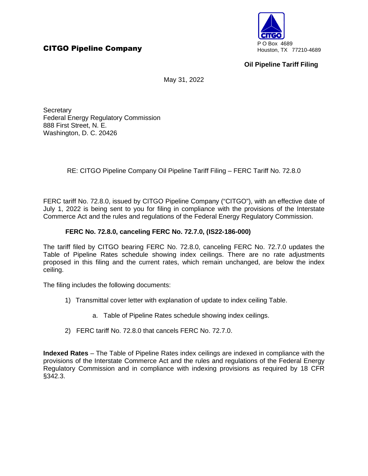

## **Oil Pipeline Tariff Filing**

May 31, 2022

**Secretary** Federal Energy Regulatory Commission 888 First Street, N. E. Washington, D. C. 20426

RE: CITGO Pipeline Company Oil Pipeline Tariff Filing – FERC Tariff No. 72.8.0

FERC tariff No. 72.8.0, issued by CITGO Pipeline Company ("CITGO"), with an effective date of July 1, 2022 is being sent to you for filing in compliance with the provisions of the Interstate Commerce Act and the rules and regulations of the Federal Energy Regulatory Commission.

## **FERC No. 72.8.0, canceling FERC No. 72.7.0, (IS22-186-000)**

The tariff filed by CITGO bearing FERC No. 72.8.0, canceling FERC No. 72.7.0 updates the Table of Pipeline Rates schedule showing index ceilings. There are no rate adjustments proposed in this filing and the current rates, which remain unchanged, are below the index ceiling.

The filing includes the following documents:

- 1) Transmittal cover letter with explanation of update to index ceiling Table.
	- a. Table of Pipeline Rates schedule showing index ceilings.
- 2) FERC tariff No. 72.8.0 that cancels FERC No. 72.7.0.

**Indexed Rates** – The Table of Pipeline Rates index ceilings are indexed in compliance with the provisions of the Interstate Commerce Act and the rules and regulations of the Federal Energy Regulatory Commission and in compliance with indexing provisions as required by 18 CFR §342.3.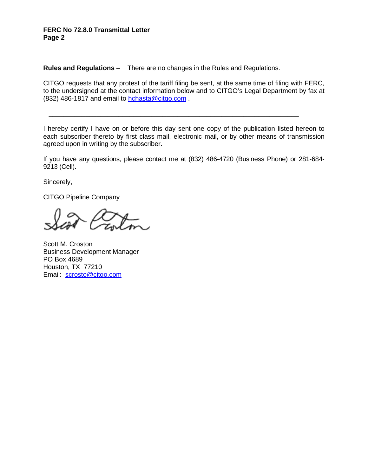## **FERC No 72.8.0 Transmittal Letter Page 2**

**Rules and Regulations** – There are no changes in the Rules and Regulations.

CITGO requests that any protest of the tariff filing be sent, at the same time of filing with FERC, to the undersigned at the contact information below and to CITGO's Legal Department by fax at (832) 486-1817 and email to hchasta@citgo.com .

I hereby certify I have on or before this day sent one copy of the publication listed hereon to each subscriber thereto by first class mail, electronic mail, or by other means of transmission agreed upon in writing by the subscriber.

\_\_\_\_\_\_\_\_\_\_\_\_\_\_\_\_\_\_\_\_\_\_\_\_\_\_\_\_\_\_\_\_\_\_\_\_\_\_\_\_\_\_\_\_\_\_\_\_\_\_\_\_\_\_\_\_\_\_\_\_\_\_\_\_\_\_\_\_

If you have any questions, please contact me at (832) 486-4720 (Business Phone) or 281-684- 9213 (Cell).

Sincerely,

CITGO Pipeline Company

Scott M. Croston Business Development Manager PO Box 4689 Houston, TX 77210 Email: scrosto@citgo.com